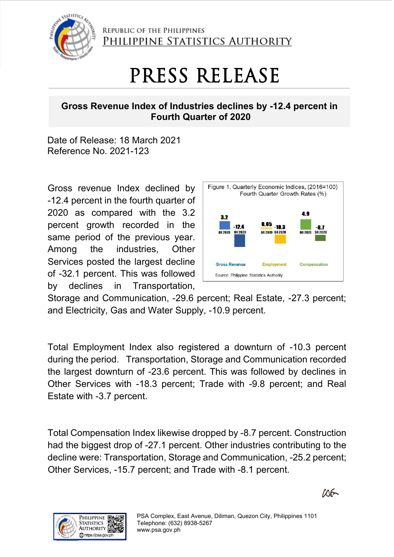

REPUBLIC OF THE PHILIPPINES PHILIPPINE STATISTICS AUTHORITY

## PRESS RELEASE

## **Gross Revenue Index of Industries declines by -12.4 percent in Fourth Quarter of 2020**

Date of Release: 18 March 2021 Reference No. 2021-123

Gross revenue Index declined by -12.4 percent in the fourth quarter of 2020 as compared with the 3.2 percent growth recorded in the same period of the previous year. Among the industries, Other Services posted the largest decline of -32.1 percent. This was followed by declines in Transportation,



Storage and Communication, -29.6 percent; Real Estate, -27.3 percent; and Electricity, Gas and Water Supply, -10.9 percent.

Total Employment Index also registered a downturn of -10.3 percent during the period. Transportation, Storage and Communication recorded the largest downturn of -23.6 percent. This was followed by declines in Other Services with -18.3 percent; Trade with -9.8 percent; and Real Estate with -3.7 percent.

Total Compensation Index likewise dropped by -8.7 percent. Construction had the biggest drop of -27.1 percent. Other industries contributing to the decline were: Transportation, Storage and Communication, -25.2 percent; Other Services, -15.7 percent; and Trade with -8.1 percent.